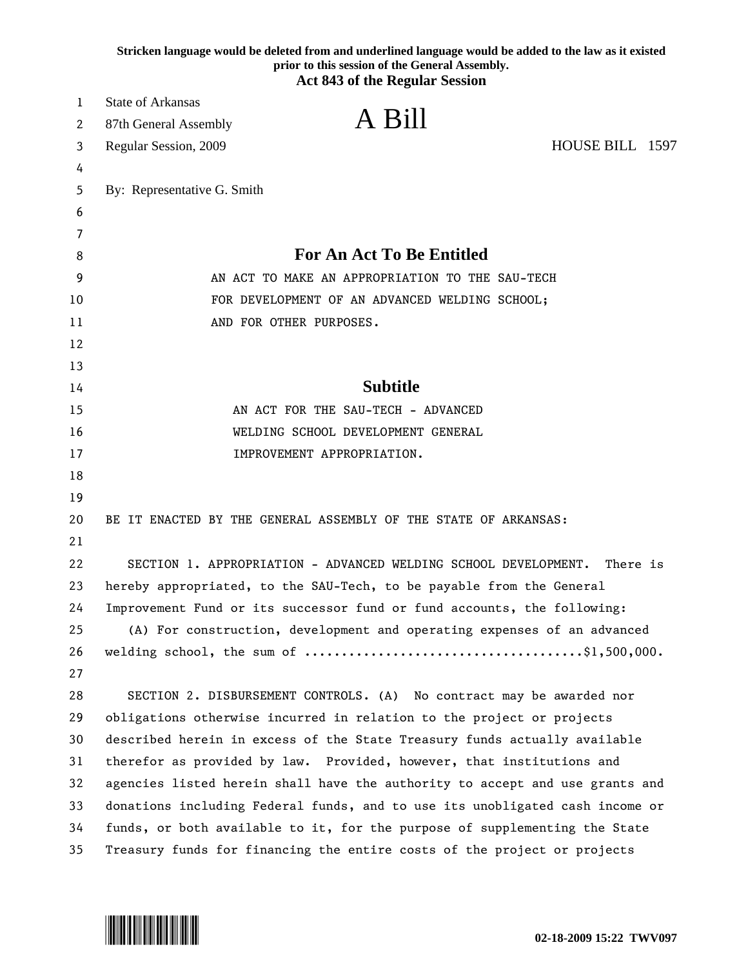|        | Stricken language would be deleted from and underlined language would be added to the law as it existed<br>prior to this session of the General Assembly. |
|--------|-----------------------------------------------------------------------------------------------------------------------------------------------------------|
|        | <b>Act 843 of the Regular Session</b>                                                                                                                     |
| 1      | <b>State of Arkansas</b><br>A Bill                                                                                                                        |
| 2      | 87th General Assembly                                                                                                                                     |
| 3      | HOUSE BILL 1597<br>Regular Session, 2009                                                                                                                  |
| 4      |                                                                                                                                                           |
| 5      | By: Representative G. Smith                                                                                                                               |
| 6      |                                                                                                                                                           |
| 7<br>8 | <b>For An Act To Be Entitled</b>                                                                                                                          |
| 9      | AN ACT TO MAKE AN APPROPRIATION TO THE SAU-TECH                                                                                                           |
| 10     | FOR DEVELOPMENT OF AN ADVANCED WELDING SCHOOL;                                                                                                            |
| 11     | AND FOR OTHER PURPOSES.                                                                                                                                   |
| 12     |                                                                                                                                                           |
| 13     |                                                                                                                                                           |
| 14     | <b>Subtitle</b>                                                                                                                                           |
| 15     | AN ACT FOR THE SAU-TECH - ADVANCED                                                                                                                        |
| 16     | WELDING SCHOOL DEVELOPMENT GENERAL                                                                                                                        |
| 17     | IMPROVEMENT APPROPRIATION.                                                                                                                                |
| 18     |                                                                                                                                                           |
| 19     |                                                                                                                                                           |
| 20     | BE IT ENACTED BY THE GENERAL ASSEMBLY OF THE STATE OF ARKANSAS:                                                                                           |
| 21     |                                                                                                                                                           |
| 22     | SECTION 1. APPROPRIATION - ADVANCED WELDING SCHOOL DEVELOPMENT.<br>There is                                                                               |
| 23     | hereby appropriated, to the SAU-Tech, to be payable from the General                                                                                      |
| 24     | Improvement Fund or its successor fund or fund accounts, the following:                                                                                   |
| 25     | (A) For construction, development and operating expenses of an advanced                                                                                   |
| 26     |                                                                                                                                                           |
| 27     |                                                                                                                                                           |
| 28     | SECTION 2. DISBURSEMENT CONTROLS. (A) No contract may be awarded nor                                                                                      |
| 29     | obligations otherwise incurred in relation to the project or projects                                                                                     |
| 30     | described herein in excess of the State Treasury funds actually available                                                                                 |
| 31     | therefor as provided by law. Provided, however, that institutions and                                                                                     |
| 32     | agencies listed herein shall have the authority to accept and use grants and                                                                              |
| 33     | donations including Federal funds, and to use its unobligated cash income or                                                                              |
| 34     | funds, or both available to it, for the purpose of supplementing the State                                                                                |
| 35     | Treasury funds for financing the entire costs of the project or projects                                                                                  |
|        |                                                                                                                                                           |